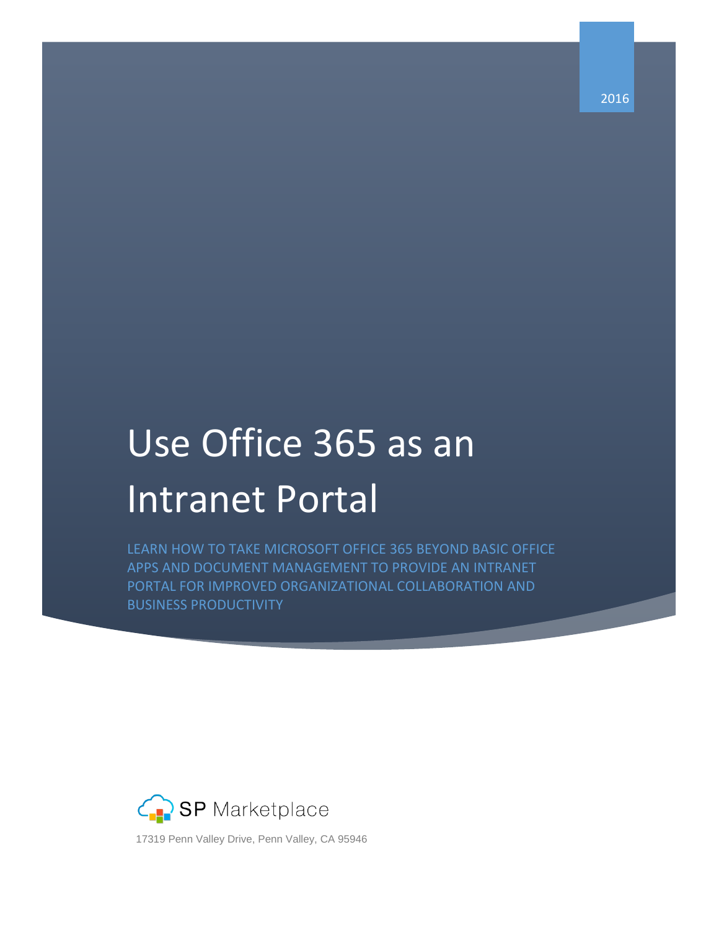2016

# Use Office 365 as an Intranet Portal

LEARN HOW TO TAKE MICROSOFT OFFICE 365 BEYOND BASIC OFFICE APPS AND DOCUMENT MANAGEMENT TO PROVIDE AN INTRANET PORTAL FOR IMPROVED ORGANIZATIONAL COLLABORATION AND BUSINESS PRODUCTIVITY



l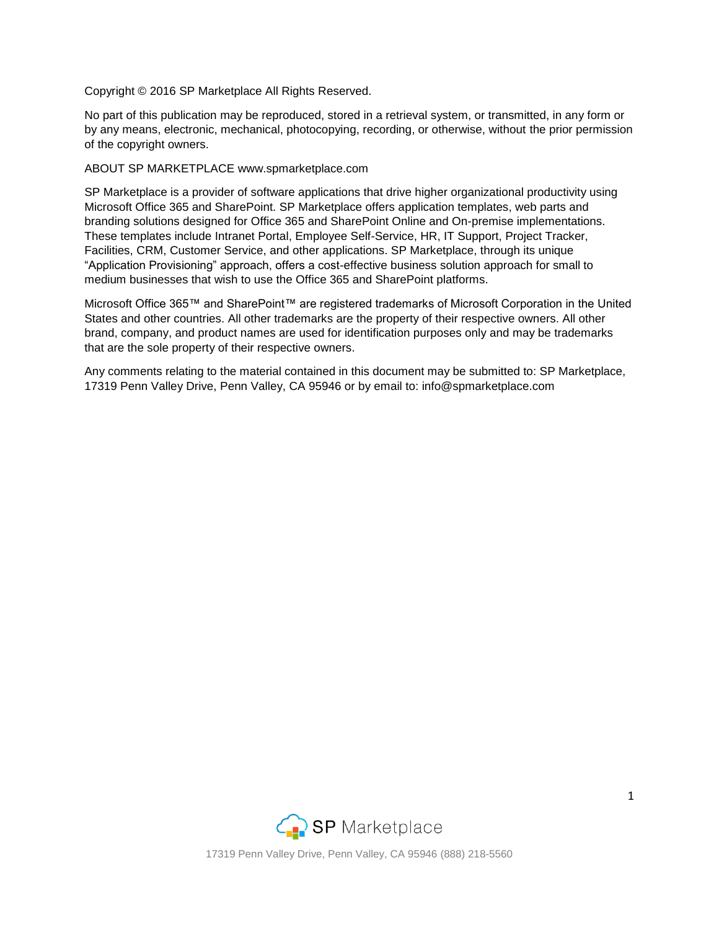Copyright © 2016 SP Marketplace All Rights Reserved.

No part of this publication may be reproduced, stored in a retrieval system, or transmitted, in any form or by any means, electronic, mechanical, photocopying, recording, or otherwise, without the prior permission of the copyright owners.

#### ABOUT SP MARKETPLACE www.spmarketplace.com

SP Marketplace is a provider of software applications that drive higher organizational productivity using Microsoft Office 365 and SharePoint. SP Marketplace offers application templates, web parts and branding solutions designed for Office 365 and SharePoint Online and On-premise implementations. These templates include Intranet Portal, Employee Self-Service, HR, IT Support, Project Tracker, Facilities, CRM, Customer Service, and other applications. SP Marketplace, through its unique "Application Provisioning" approach, offers a cost-effective business solution approach for small to medium businesses that wish to use the Office 365 and SharePoint platforms.

Microsoft Office 365™ and SharePoint™ are registered trademarks of Microsoft Corporation in the United States and other countries. All other trademarks are the property of their respective owners. All other brand, company, and product names are used for identification purposes only and may be trademarks that are the sole property of their respective owners.

Any comments relating to the material contained in this document may be submitted to: SP Marketplace, 17319 Penn Valley Drive, Penn Valley, CA 95946 or by email to: info@spmarketplace.com

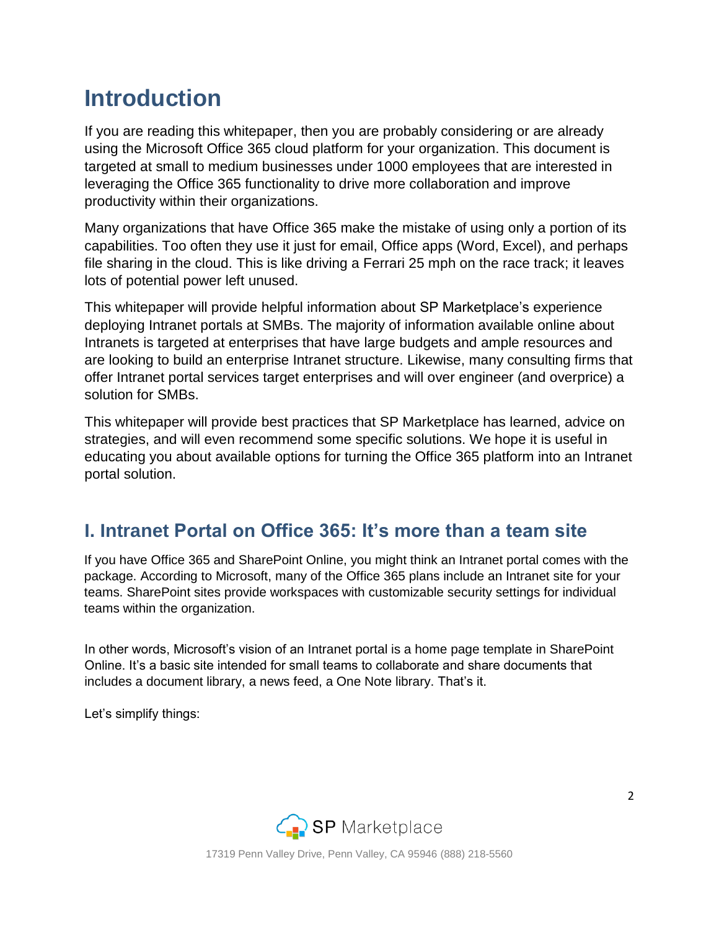## **Introduction**

If you are reading this whitepaper, then you are probably considering or are already using the Microsoft Office 365 cloud platform for your organization. This document is targeted at small to medium businesses under 1000 employees that are interested in leveraging the Office 365 functionality to drive more collaboration and improve productivity within their organizations.

Many organizations that have Office 365 make the mistake of using only a portion of its capabilities. Too often they use it just for email, Office apps (Word, Excel), and perhaps file sharing in the cloud. This is like driving a Ferrari 25 mph on the race track; it leaves lots of potential power left unused.

This whitepaper will provide helpful information about SP Marketplace's experience deploying Intranet portals at SMBs. The majority of information available online about Intranets is targeted at enterprises that have large budgets and ample resources and are looking to build an enterprise Intranet structure. Likewise, many consulting firms that offer Intranet portal services target enterprises and will over engineer (and overprice) a solution for SMBs.

This whitepaper will provide best practices that SP Marketplace has learned, advice on strategies, and will even recommend some specific solutions. We hope it is useful in educating you about available options for turning the Office 365 platform into an Intranet portal solution.

### **I. Intranet Portal on Office 365: It's more than a team site**

If you have Office 365 and SharePoint Online, you might think an Intranet portal comes with the package. According to Microsoft, many of the Office 365 plans include an Intranet site for your teams. SharePoint sites provide workspaces with customizable security settings for individual teams within the organization.

In other words, Microsoft's vision of an Intranet portal is a home page template in SharePoint Online. It's a basic site intended for small teams to collaborate and share documents that includes a document library, a news feed, a One Note library. That's it.

Let's simplify things:

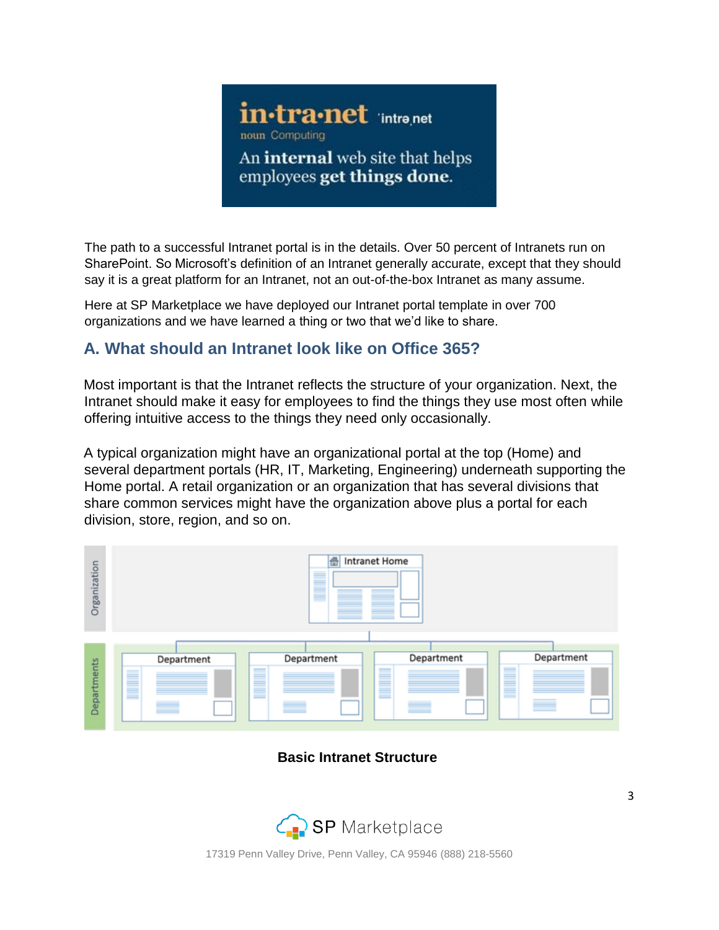

The path to a successful Intranet portal is in the details. Over 50 percent of Intranets run on SharePoint. So Microsoft's definition of an Intranet generally accurate, except that they should say it is a great platform for an Intranet, not an out-of-the-box Intranet as many assume.

Here at [SP Marketplace](http://www.spmarketplace.com/) we [h](http://www.spmarketplace.com/)ave deployed our Intranet [portal template](http://www.spmarketplace.com/sharepoint-intranet-portal.html) in over 700 organizations and we have learned a thing or two that we'd like to share.

#### **A. What should an Intranet look like on Office 365?**

Most important is that the Intranet reflects the structure of your organization. Next, the Intranet should make it easy for employees to find the things they use most often while offering intuitive access to the things they need only occasionally.

A typical organization might have an organizational portal at the top (Home) and several department portals (HR, IT, Marketing, Engineering) underneath supporting the Home portal. A retail organization or an organization that has several divisions that share common services might have the organization above plus a portal for each division, store, region, and so on.



#### **Basic Intranet Structure**

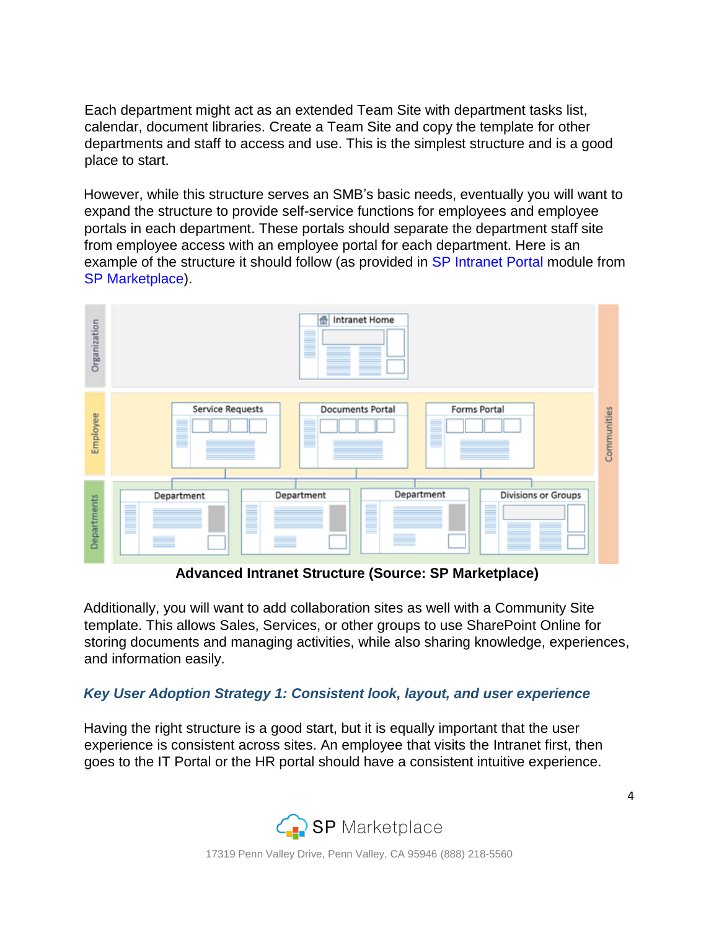Each department might act as an extended Team Site with department tasks list, calendar, document libraries. Create a Team Site and copy the template for other departments and staff to access and use. This is the simplest structure and is a good place to start.

However, while this structure serves an SMB's basic needs, eventually you will want to expand the structure to provide self-service functions for employees and employee portals in each department. These portals should separate the department staff site from employee access with an employee portal for each department. Here is an example of the structure it should follow (as provided i[n](http://www.spmarketplace.com/sharepoint-intranet-portal.html) [SP Intranet](http://www.spmarketplace.com/sharepoint-intranet-portal.html) Port[al](http://www.spmarketplace.com/sharepoint-intranet-portal.html) module from [SP Marketplace\).](http://www.spmarketplace.com/)

| Organization | Intranet Home<br>合                                                             |             |
|--------------|--------------------------------------------------------------------------------|-------------|
| Employee     | Service Requests<br>Forms Portal<br>Documents Portal<br>▌<br>▋<br>≣            | Communities |
| Departments  | Department<br><b>Divisions or Groups</b><br>Department<br>Department<br>▊<br>≡ |             |

**Advanced Intranet Structure (Source: SP Marketplace)** 

Additionally, you will want to add collaboration sites as well with a Community Site template. This allows Sales, Services, or other groups to use SharePoint Online for storing documents and managing activities, while also sharing knowledge, experiences, and information easily.

#### *Key User Adoption Strategy 1: Consistent look, layout, and user experience*

Having the right structure is a good start, but it is equally important that the user experience is consistent across sites. An employee that visits the Intranet first, then goes to the IT Portal or the HR portal should have a consistent intuitive experience.

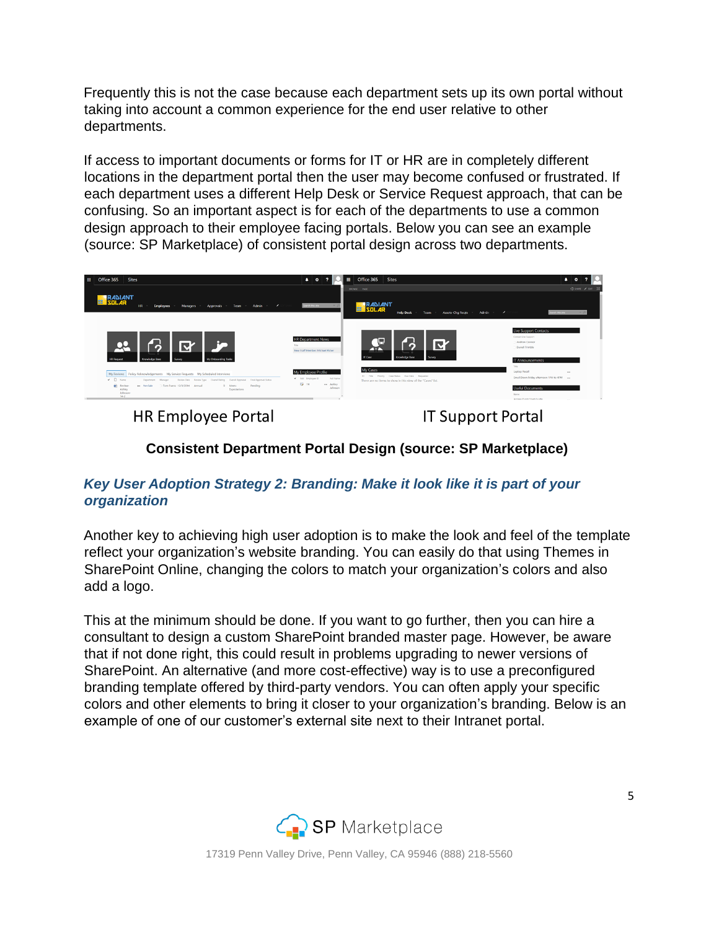Frequently this is not the case because each department sets up its own portal without taking into account a common experience for the end user relative to other departments.

If access to important documents or forms for IT or HR are in completely different locations in the department portal then the user may become confused or frustrated. If each department uses a different Help Desk or Service Request approach, that can be confusing. So an important aspect is for each of the departments to use a common design approach to their employee facing portals. Below you can see an example (source: [SP Marketplace\)](http://www.spmarkeptlace.com/) of consistent portal design across two departments.



**HR Employee Portal** 

**IT Support Portal** 

#### **Consistent Department Portal Design (source: SP Marketplace)**

#### *Key User Adoption Strategy 2: Branding: Make it look like it is part of your organization*

Another key to achieving high user adoption is to make the look and feel of the template reflect your organization's website branding. You can easily do that using Themes in SharePoint Online, changing the colors to match your organization's colors and also add a logo.

This at the minimum should be done. If you want to go further, then you can hire a consultant to design a custom SharePoint branded master page. However, be aware that if not done right, this could result in problems upgrading to newer versions of SharePoint. An alternative (and more cost-effective) way is to use a preconfigured branding template offered by third-party vendors. You can often apply your specific colors and other elements to bring it closer to your organization's branding. Below is an example of one of our customer's external site next to their Intranet portal.

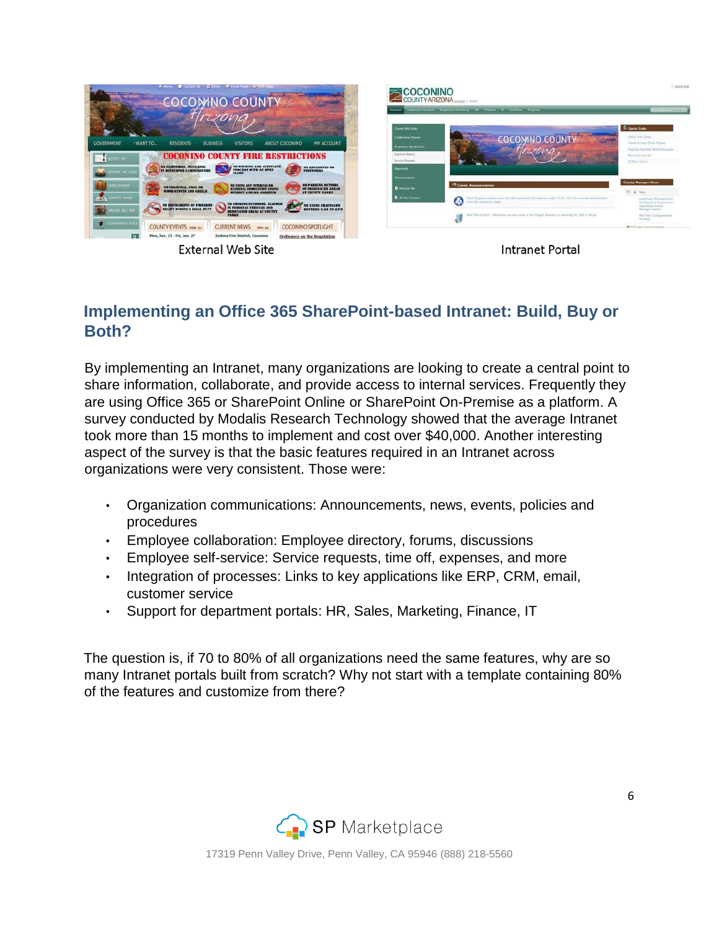

**External Web Site** 

**Intranet Portal** 

#### **Implementing an Office 365 SharePoint-based Intranet: Build, Buy or Both?**

By implementing an Intranet, many organizations are looking to create a central point to share information, collaborate, and provide access to internal services. Frequently they are using Office 365 or SharePoint Online or SharePoint On-Premise as a platform. A survey conducted by Modalis Research Technology showed that the average Intranet took more than 15 months to implement and cost over \$40,000. Another interesting aspect of the survey is that the basic features required in an Intranet across organizations were very consistent. Those were:

- Organization communications: Announcements, news, events, policies and procedures
- Employee collaboration: Employee directory, forums, discussions
- Employee self-service: Service requests, time off, expenses, and more
- Integration of processes: Links to key applications like ERP, CRM, email, customer service
- Support for department portals: HR, Sales, Marketing, Finance, IT

The question is, if 70 to 80% of all organizations need the same features, why are so many Intranet portals built from scratch? Why not start with a template containing 80% of the features and customize from there?

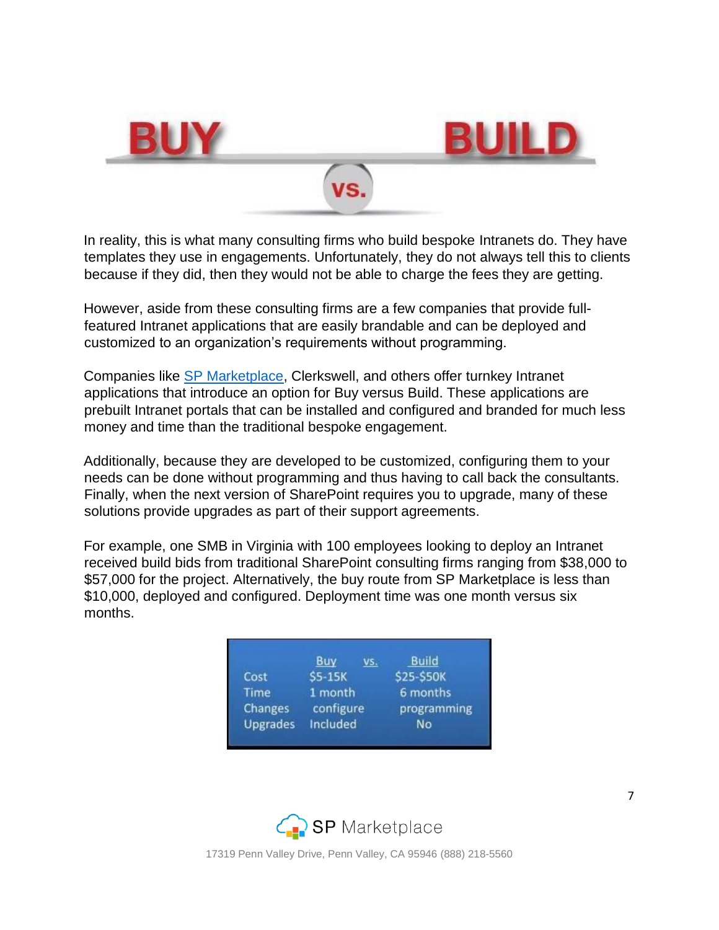

In reality, this is what many consulting firms who build bespoke Intranets do. They have templates they use in engagements. Unfortunately, they do not always tell this to clients because if they did, then they would not be able to charge the fees they are getting.

However, aside from these consulting firms are a few companies that provide fullfeatured Intranet applications that are easily brandable and can be deployed and customized to an organization's requirements without programming.

Companies like [SP Marketplace,](http://www.spmarketplace.com/) Clerkswell, and others offer turnkey Intranet applications that introduce an option for Buy versus Build. These applications are prebuilt Intranet portals that can be installed and configured and branded for much less money and time than the traditional bespoke engagement.

Additionally, because they are developed to be customized, configuring them to your needs can be done without programming and thus having to call back the consultants. Finally, when the next version of SharePoint requires you to upgrade, many of these solutions provide upgrades as part of their support agreements.

For example, one SMB in Virginia with 100 employees looking to deploy an Intranet received build bids from traditional SharePoint consulting firms ranging from \$38,000 to \$57,000 for the project. Alternatively, the buy route from SP Marketplace is less than \$10,000, deployed and configured. Deployment time was one month versus six months.

|                 | vs.       | <b>Build</b> |
|-----------------|-----------|--------------|
| Cost            | \$5-15K   | \$25-\$50K   |
| Time            | 1 month   | 6 months     |
| Changes         | configure | programming  |
| <b>Upgrades</b> | Included  | No           |

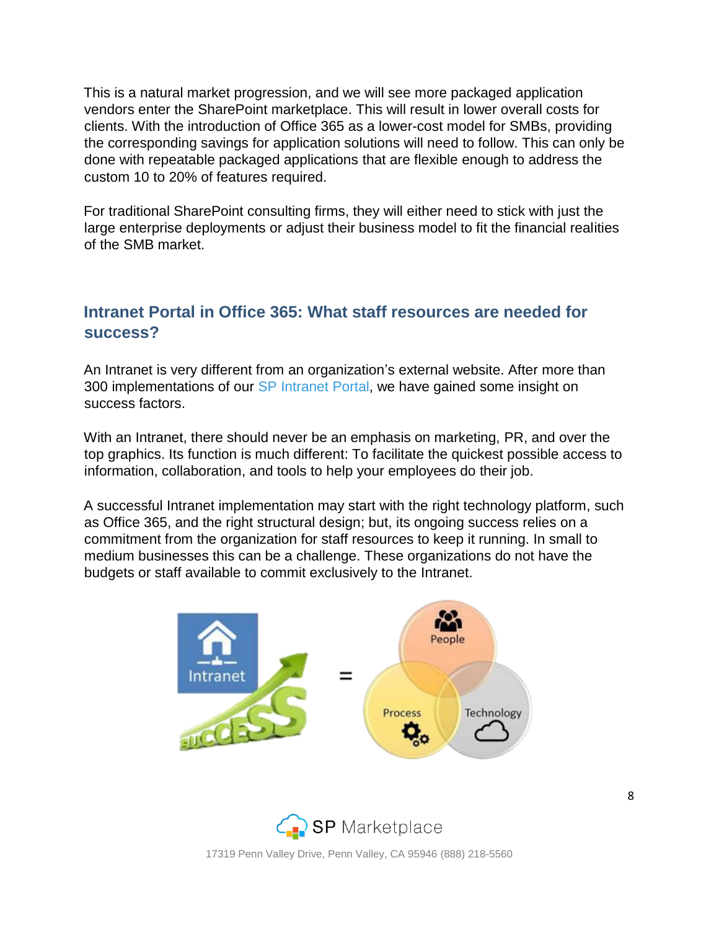This is a natural market progression, and we will see more packaged application vendors enter the SharePoint marketplace. This will result in lower overall costs for clients. With the introduction of Office 365 as a lower-cost model for SMBs, providing the corresponding savings for application solutions will need to follow. This can only be done with repeatable packaged applications that are flexible enough to address the custom 10 to 20% of features required.

For traditional SharePoint consulting firms, they will either need to stick with just the large enterprise deployments or adjust their business model to fit the financial realities of the SMB market.

#### **Intranet Portal in Office 365: What staff resources are needed for success?**

An Intranet is very different from an organization's external website. After more than 300 implementations of our [SP Intranet](http://www.spmarketplace.com/sharepoint-intranet-portal.html) Port[al,](http://www.spmarketplace.com/sharepoint-intranet-portal.html) we have gained some insight on success factors.

With an Intranet, there should never be an emphasis on marketing, PR, and over the top graphics. Its function is much different: To facilitate the quickest possible access to information, collaboration, and tools to help your employees do their job.

A successful Intranet implementation may start with the right technology platform, such as Office 365, and the right structural design; but, its ongoing success relies on a commitment from the organization for staff resources to keep it running. In small to medium businesses this can be a challenge. These organizations do not have the budgets or staff available to commit exclusively to the Intranet.



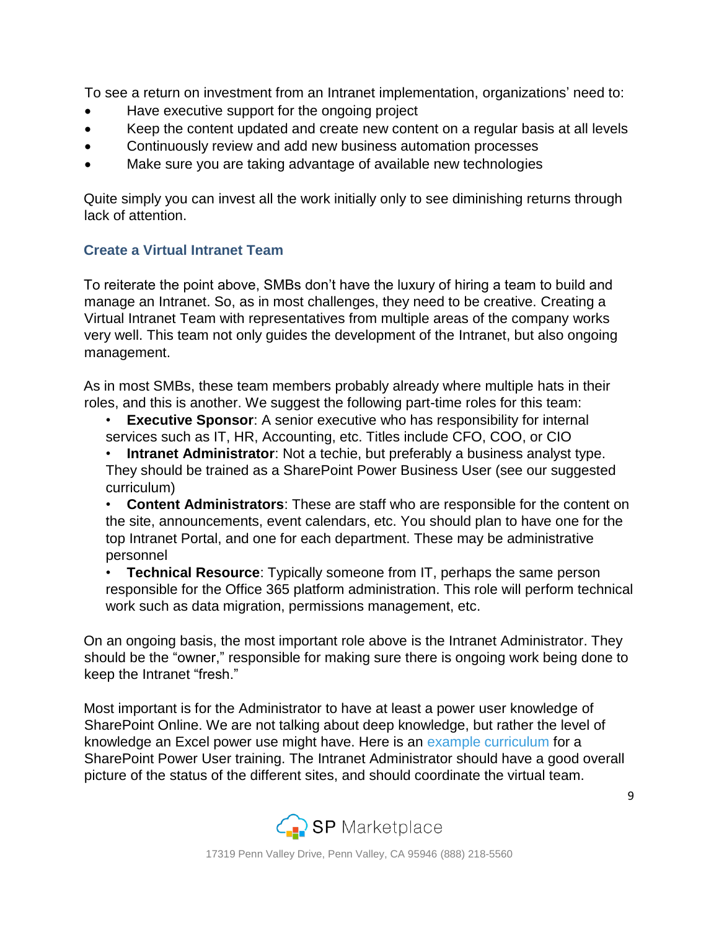To see a return on investment from an Intranet implementation, organizations' need to:

- Have executive support for the ongoing project
- Keep the content updated and create new content on a regular basis at all levels
- Continuously review and add new business automation processes
- Make sure you are taking advantage of available new technologies

Quite simply you can invest all the work initially only to see diminishing returns through lack of attention.

#### **Create a Virtual Intranet Team**

To reiterate the point above, SMBs don't have the luxury of hiring a team to build and manage an Intranet. So, as in most challenges, they need to be creative. Creating a Virtual Intranet Team with representatives from multiple areas of the company works very well. This team not only guides the development of the Intranet, but also ongoing management.

As in most SMBs, these team members probably already where multiple hats in their roles, and this is another. We suggest the following part-time roles for this team:

- **Executive Sponsor:** A senior executive who has responsibility for internal services such as IT, HR, Accounting, etc. Titles include CFO, COO, or CIO
- **Intranet Administrator**: Not a techie, but preferably a business analyst type. They should be trained as a SharePoint Power Business User (see our suggested curriculum)
- **Content Administrators**: These are staff who are responsible for the content on the site, announcements, event calendars, etc. You should plan to have one for the top Intranet Portal, and one for each department. These may be administrative personnel
- **Technical Resource:** Typically someone from IT, perhaps the same person responsible for the Office 365 platform administration. This role will perform technical work such as data migration, permissions management, etc.

On an ongoing basis, the most important role above is the Intranet Administrator. They should be the "owner," responsible for making sure there is ongoing work being done to keep the Intranet "fresh."

Most important is for the Administrator to have at least a power user knowledge of SharePoint Online. We are not talking about deep knowledge, but rather the level of knowledge an Excel power use might have. Here is an [example curriculum](http://www.spmarketplace.com/power-user-training.html) [f](http://www.spmarketplace.com/power-user-training.html)or a SharePoint Power User training. The Intranet Administrator should have a good overall picture of the status of the different sites, and should coordinate the virtual team.

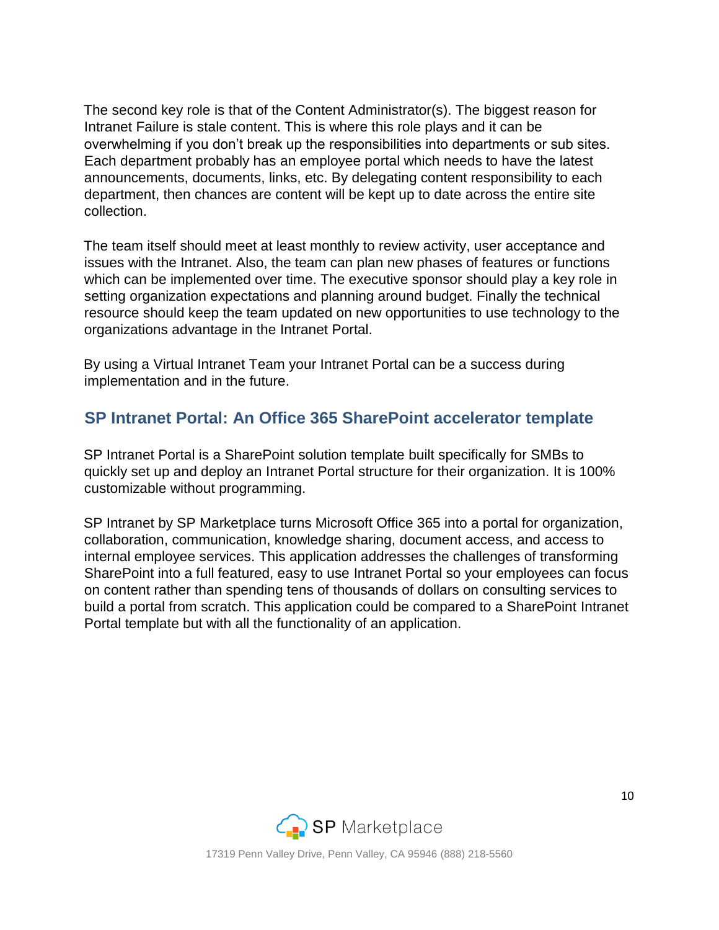The second key role is that of the Content Administrator(s). The biggest reason for Intranet Failure is stale content. This is where this role plays and it can be overwhelming if you don't break up the responsibilities into departments or sub sites. Each department probably has an employee portal which needs to have the latest announcements, documents, links, etc. By delegating content responsibility to each department, then chances are content will be kept up to date across the entire site collection.

The team itself should meet at least monthly to review activity, user acceptance and issues with the Intranet. Also, the team can plan new phases of features or functions which can be implemented over time. The executive sponsor should play a key role in setting organization expectations and planning around budget. Finally the technical resource should keep the team updated on new opportunities to use technology to the organizations advantage in the Intranet Portal.

By using a Virtual Intranet Team your Intranet Portal can be a success during implementation and in the future.

#### **SP Intranet Portal: An Office 365 SharePoint accelerator template**

SP Intranet Portal is a SharePoint solution template built specifically for SMBs to quickly set up and deploy an Intranet Portal structure for their organization. It is 100% customizable without programming.

SP Intranet by SP Marketplace turns Microsoft Office 365 into a portal for organization, collaboration, communication, knowledge sharing, document access, and access to internal employee services. This application addresses the challenges of transforming SharePoint into a full featured, easy to use Intranet Portal so your employees can focus on content rather than spending tens of thousands of dollars on consulting services to build a portal from scratch. This application could be compared to a SharePoint Intranet Portal template but with all the functionality of an application.